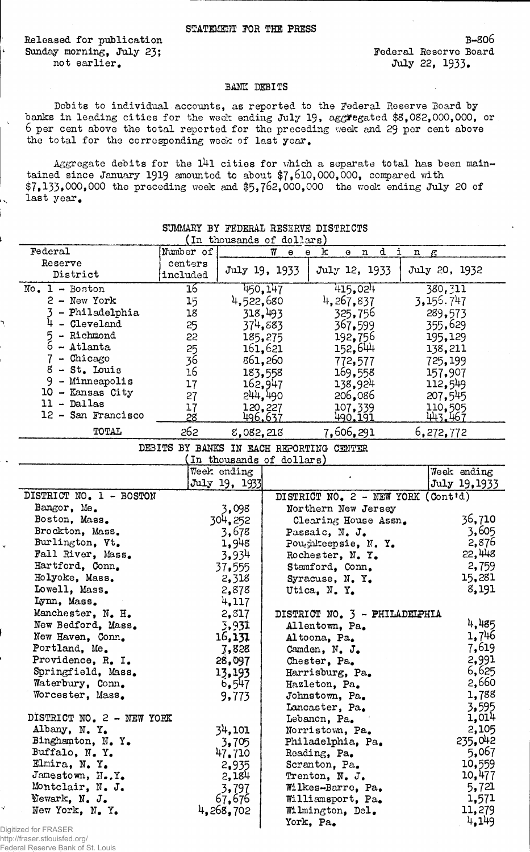## STATEMENT FOR THE PRESS

Released for publication Sunday morning, July 23; not earlier.

ź.

B-8O6 Federal Reservo Board July 22, 1933.

## BANK DEBITS

Debits to individual accounts, as reported to the Federal Reserve Board by banks in leading cities for the week ending July 19, aggregated \$8,082,000,000, or 6 per cent above the total reported for the preceding week and 29 per cent above the total for the corresponding week of last year.

Aggregate debits for the  $141$  cities for which a separate total has been maintained since January 1919 amounted to about  $7,610,000,000$ , compared with \$7,133,000,000 the preceding week and \$5,762,000,000 the week ending July 20 of last year,

| t de de la de la de la de la de la de la de<br>(In thousands of dollars) |                 |                |                          |                                                      |   |                |  |
|--------------------------------------------------------------------------|-----------------|----------------|--------------------------|------------------------------------------------------|---|----------------|--|
| Federal                                                                  | Number of       |                | W<br>e                   | d<br>$\mathbf e$<br>k<br>$\mathbf n$<br>$\mathbf{e}$ | i | $n_{\beta}$    |  |
| Reserve                                                                  | centers         |                |                          |                                                      |   |                |  |
| District                                                                 | included        |                | July 19, 1933            | July 12, 1933                                        |   | July 20, 1932  |  |
| $No. 1 - Boston$                                                         | $\overline{16}$ |                | 450,147                  | 415,024                                              |   | 380, 311       |  |
| $2 - New York$                                                           | 15              | 4,522,680      |                          | 4,267,837                                            |   | 3, 155, 747    |  |
| - Philadelphia                                                           | 18              |                | 318,493                  | 325,756                                              |   | 289,573        |  |
| 4<br>- Cleveland                                                         | 25              |                | 374,883                  | 367.599                                              |   | 355,629        |  |
| - Richmond<br>$5 -$ Richmond<br>$6 -$ Atlanta                            | 22              |                | 185,275                  | 192,756                                              |   | 195,129        |  |
|                                                                          | 25              |                | 161,621                  | 152,644                                              |   | 138,211        |  |
| $7$ - Chicago                                                            | 36              |                | 861,260                  | 772,577                                              |   | 725,199        |  |
| $8 - St.$ Louis                                                          | 16              |                | 183,558                  | 169,558                                              |   | 157,907        |  |
| 9 - Minneapolis                                                          | 17              |                | 162,947                  | 138,924                                              |   | 112,549        |  |
| 10 - Kansas City                                                         | 27              |                | 244,490                  | 206,086                                              |   | 207,545        |  |
| $11 - Dallas$                                                            | 17              | 120,227        |                          | 107,339                                              |   | 110,505        |  |
| 12 - San Francisco                                                       | 28              | <u>496.637</u> |                          | 490.191                                              |   | 443.467        |  |
| TOTAL                                                                    | 262             | 8,082,213      |                          | 7,606,291                                            |   | 6,272,772      |  |
|                                                                          |                 |                |                          | DEBITS BY BANKS IN EACH REPORTING CENTER             |   |                |  |
|                                                                          |                 |                | In thousands of dollars) |                                                      |   |                |  |
|                                                                          |                 | Week ending    |                          |                                                      |   | Week ending    |  |
|                                                                          |                 | July 19, 1933  |                          |                                                      |   | July 19,1933   |  |
| DISTRICT NO. 1 - BOSTON                                                  |                 |                |                          | DISTRICT NO. 2 - NEW YORK (Cont'd)                   |   |                |  |
| Bangor, Me.                                                              |                 | 3,098          |                          | Northern New Jersey                                  |   |                |  |
| Boston, Mass.                                                            |                 | 304,252        |                          | Clearing House Assn.                                 |   | 36,710         |  |
| Brockton, Mass.                                                          |                 | 3,678          |                          | Passaic, N. J.                                       |   | 3,605          |  |
| Burlington, Vt.                                                          |                 | 1,948          |                          | Poughkeepsie, N.Y.                                   |   | 2,876          |  |
| Fall River, Mass.                                                        |                 | 3,934          |                          | Rochester, N.Y.                                      |   | 22,448         |  |
| Hartford, Conn.                                                          |                 | 37,555         |                          | Stanford, Conn.                                      |   | 2,759          |  |
| Holyoke, Mass.                                                           |                 | 2,318          |                          | Syracuse, N.Y.                                       |   | 15,281         |  |
| Lowell, Mass.                                                            |                 | 2,878          |                          | Utica, N.Y.                                          |   | 8,191          |  |
| Lynn, Mass.                                                              |                 | 4,117          |                          |                                                      |   |                |  |
| Manchester, N. H.                                                        |                 | 2,817          |                          | DISTRICT NO. 3 - PHILADELPHIA                        |   |                |  |
| New Bedford, Mass.                                                       |                 | 3,931          |                          | Allentown, Pa.                                       |   | 4,485          |  |
| New Haven, Conn.                                                         |                 | 16,131         |                          | Altoona, Pa.                                         |   | 1,746          |  |
| Portland, Me.                                                            |                 | 7,828          |                          | Camden, N. J.                                        |   | 7,619          |  |
| Providence, R. I.                                                        |                 | 28,097         |                          | Chester, Pa.                                         |   | 2,991<br>6,625 |  |
| Springfield, Mass.                                                       |                 | 13,193         |                          | Harrisburg, Pa.                                      |   | 2,660          |  |
| Waterbury, Conn.<br>Worcester, Mass.                                     |                 | 6,547          |                          | Hazleton, Pa.                                        |   | 1,788          |  |
|                                                                          |                 | 9,773          |                          | Johnstown, Pa.                                       |   | 3,595          |  |
| DISTRICT NO. 2 - NEW YORK                                                |                 |                |                          | Lancaster, Pa.<br>Lebanon, Pa.                       |   | 1,014          |  |
| Albany, N.Y.                                                             |                 | 34,101         |                          | Norristown, Pa.                                      |   | 2,105          |  |
| Binghamton, N.Y.                                                         |                 | 3,705          |                          | Philadelphia, Pa.                                    |   | 235,042        |  |
| Buffalo, N.Y.                                                            |                 | 47.710         |                          | Reading, Pa.                                         |   | 5,067          |  |
| Elmira, N.Y.                                                             |                 | 2,935          |                          | Scranton, Pa.                                        |   | 10,559         |  |
| Jamestown, H.Y.                                                          |                 | 2,184          |                          | Trenton, N. J.                                       |   | 10,477         |  |
| Montclair, N. J.                                                         |                 | 3,797          |                          | Wilkes-Barre, Pa.                                    |   | 5,721          |  |
| Newark, N. J.                                                            |                 | 67,676         |                          | Williamsport, Pa.                                    |   | 1,571          |  |
| New York, N. Y.                                                          |                 | 4.268,702      |                          | Wilmington, Del.                                     |   | 11,279         |  |
|                                                                          |                 |                |                          | York, Pa.                                            |   | 4,149          |  |

SUMMARY BY FEDERAL RESERVE DISTRICTS

V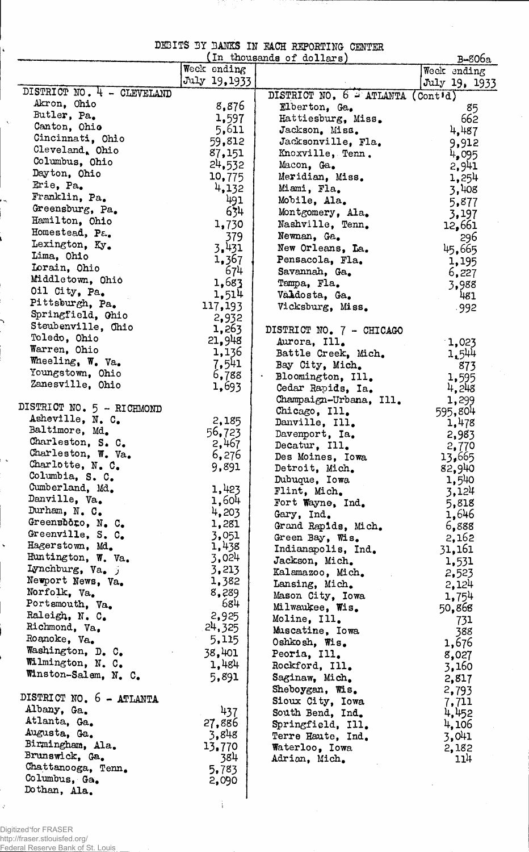|  |  | DESITS BY BANKS IN RACH REPORTING CENTER |  |
|--|--|------------------------------------------|--|
|  |  |                                          |  |

TRATIC

 $\bar{\beta}$ 

|                                        |               | In thousands of dollars)          | B-806a           |
|----------------------------------------|---------------|-----------------------------------|------------------|
|                                        | Week ending   |                                   | Week ending      |
|                                        | July 19, 1933 |                                   | July 19, 1933    |
| DISTRICT NO. 4 - CLEVELAND             |               | DISTRICT NO. 6 - ATLANTA (Cont'd) |                  |
| Akron, Ohio<br>Butler, Pa.             | 8,876         | Elberton, Ga.                     | 85               |
| Canton, Ohio                           | 1,597         | Hattiesburg, Miss.                | 662              |
|                                        | 5,611         | Jackson, Miss.                    | 4,487            |
| Cincinnati, Ohio<br>Cleveland. Ohio    | 59,812        | Jacksonville, Fla.                | 9,912            |
| Columbus, Ohio                         | 87,151        | Knoxville, Tenn.                  | 4,095            |
| Dayton, Ohio                           | 24,532        | Macon, Ga.                        | 2,941            |
| Erie, Pa.                              | 10,775        | Meridian, Miss.                   | 1,254            |
|                                        | 4,132         | Miami, Fla.                       | 3,408            |
| Franklin, Pa.                          | 491           | Mobile, Ala.                      | 5,877            |
| Greensburg, Pa.                        | 634           | Montgomery, Ala.                  | 3,197            |
| Hamilton, Ohio                         | 1,730         | Nashville, Tenn.                  | 12,661           |
| Homestead, Pa.                         | 379           | Newnan, Ga.                       | 296              |
| Lexington, Ky.                         | 3.431         | New Orleans, La.                  | 45,665           |
| Lima, Ohio                             | 1,367         | Pensacola, Fla.                   | 1,195            |
| Lorain, Ohio                           | 674           | Savannah, Ga.                     | 6,227            |
| Middletown, Ohio                       | 1,683         | Tampa, Fla.                       | 3,988            |
| Oil City, Pa.                          | 1,514         | Vähdosta, Ga.                     | 481              |
| Pittsburgh, Pa.                        | 117,193       | Vicksburg, Miss.                  | $-992$           |
| Springfield, Ohio                      | 2,932         |                                   |                  |
| Steubenville, Ohio                     | 1,263         | DISTRICT NO. 7 - CHICAGO          |                  |
| Toledo, Ohio                           | 21,948        | Aurora, Ill.                      | 1,023            |
| Warren, Ohio                           | 1,136         | Battle Creek, Mich.               | 1,544            |
| Wheeling, W. Va.                       | 7,541         | Bay City, Mich.                   | 873              |
| Youngstown, Ohio                       | 6,788         | Bloomington, Ill.                 | 1,595            |
| Zanesville, Ohio                       | 1,693         | Cedar Rapids, Ia.                 | 4,248            |
|                                        |               | Champaign-Urbana, Ill.            | 1,299            |
| DISTRICT NO. 5 - RICHMOND              |               | Chicago, Ill.                     | 595,804          |
| Asheville, N. C.                       | 2,185         | Danville, Ill.                    | 1,478            |
| Baltimore, Md.                         | 56,723        | Davenport, Ia.                    | 2,983            |
| Charleston, S. C.                      | 2,467         | Decatur, Ill.                     | 2,770            |
| Charleston, W. Va.<br>Charlotte, N. C. | 6,276         | Des Moines, Iowa                  | 13,665           |
| Columbia, S. C.                        | 9,891         | Detroit, Mich.                    | 82,940           |
| Cumberland, Md.                        | 1,423         | Dubuque, Iowa                     | 1,540            |
| Danville, Va.                          | 1,604         | Flint, Mich.                      | 3,124            |
| Durham, N. C.                          | 4,203         | Fort Wayne, Ind.                  | 5,818            |
| Greensboro, N. C.                      | 1,281         | Gary, Ind.                        | 1,646            |
| Greenville, S. C.                      | 3,051         | Grand Rapids, Mich.               | 6,888            |
| Hagerstown, Md.                        | 1,438         | Green Bay, Wis.                   | 2,162            |
| Huntington, W. Va.                     | 3,024         | Indianapolis, Ind.                | 31,161           |
| Lynchburg, Va. j                       | 3,213         | Jackson, Mich.                    | 1,531            |
| Newport News, Va.                      | 1,382         | Kalamazoo, Mich.                  | 2,523            |
| Norfolk, Va.                           | 8,289         | Lansing, Mich.                    | 2,124            |
| Portsmouth, Va.                        | 684           | Mason City, Iowa                  | 1,754            |
| Raleigh, N. C.                         | 2,925         | Milwaukee, Wis.                   | 50,868           |
| Richmond, Va.                          | 24,325        | Moline, Ill.                      | 731              |
| Roanoke, Va.                           | 5,115         | Muscatine, Iowa                   | 388              |
| Washington, D. C.                      | 38,401        | Oshkosh, Wis.                     | 1,676            |
| Wilmington, N. C.                      | 1,484         | Peoria, Ill.                      | 8,027            |
| Winston-Salem, N. C.                   |               | Rockford, Ill.                    | 3,160            |
|                                        | 5,891         | Saginaw, Mich.                    | 2,817            |
| DISTRICT NO. 6 - ATLANTA               |               | Sheboygan, Wis.                   | 2,793            |
| Albany, Ga.                            | 437           | Sioux City, Iowa                  | 7,711            |
| Atlanta, Ga.                           | 27,886        | South Bend, Ind.                  | 4,452            |
| Augusta, Ga.                           | 3,848         | Springfield, Ill.                 | 4,106            |
| Birmingham, Ala.                       | 13.770        | Terre Haute, Ind.                 | 3,041            |
| Brunswick, Ga.                         | 384           | Waterloo, Iowa                    | 2,182            |
| Chattanooga, Tenn.                     | 5,783         | Adrian, Mich.                     | 11 <sup>11</sup> |
| Columbus, Ga.                          | 2,090         |                                   |                  |
| Dothan, Ala.                           |               |                                   |                  |
|                                        |               |                                   |                  |

**I**

Digitized for FRASER http://fraser.stlouisfed.org/ Federal Reserve Bank of St. Louis

Ċ,

 $\mathcal{Q}^{\dagger}$ 

 $\ddot{\zeta}$ 

 $\hat{\mathbf{v}}_i$